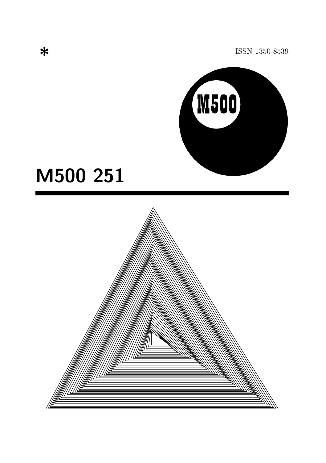ISSN 1350-8539



# M500 251

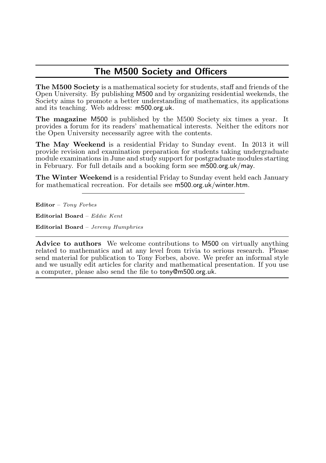## The M500 Society and Officers

The M500 Society is a mathematical society for students, staff and friends of the Open University. By publishing M500 and by organizing residential weekends, the Society aims to promote a better understanding of mathematics, its applications and its teaching. Web address: m500.org.uk.

The magazine M500 is published by the M500 Society six times a year. It provides a forum for its readers' mathematical interests. Neither the editors nor the Open University necessarily agree with the contents.

The May Weekend is a residential Friday to Sunday event. In 2013 it will provide revision and examination preparation for students taking undergraduate module examinations in June and study support for postgraduate modules starting in February. For full details and a booking form see m500.org.uk/may.

The Winter Weekend is a residential Friday to Sunday event held each January for mathematical recreation. For details see m500.org.uk/winter.htm.

Editor – Tony Forbes

Editorial Board – Eddie Kent

Editorial Board – Jeremy Humphries

Advice to authors We welcome contributions to M500 on virtually anything related to mathematics and at any level from trivia to serious research. Please send material for publication to Tony Forbes, above. We prefer an informal style and we usually edit articles for clarity and mathematical presentation. If you use a computer, please also send the file to tony@m500.org.uk.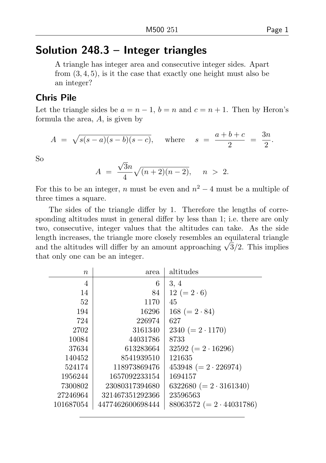## Solution 248.3 – Integer triangles

A triangle has integer area and consecutive integer sides. Apart from (3, 4, 5), is it the case that exactly one height must also be an integer?

#### Chris Pile

Let the triangle sides be  $a = n - 1$ ,  $b = n$  and  $c = n + 1$ . Then by Heron's formula the area, A, is given by

$$
A = \sqrt{s(s-a)(s-b)(s-c)}
$$
, where  $s = \frac{a+b+c}{2} = \frac{3n}{2}$ .

So

$$
A = \frac{\sqrt{3}n}{4}\sqrt{(n+2)(n-2)}, \quad n > 2.
$$

For this to be an integer, n must be even and  $n^2 - 4$  must be a multiple of three times a square.

The sides of the triangle differ by 1. Therefore the lengths of corresponding altitudes must in general differ by less than 1; i.e. there are only two, consecutive, integer values that the altitudes can take. As the side length increases, the triangle more closely resembles an equilateral triangle ength increases, the triangle more closely resembles an equilateral triangle and the altitudes will differ by an amount approaching  $\sqrt{3}/2$ . This implies that only one can be an integer.

| $\boldsymbol{n}$ | area             | altitudes                       |
|------------------|------------------|---------------------------------|
| 4                | 6                | 3, 4                            |
| 14               | 84               | $12 (= 2 \cdot 6)$              |
| 52               | 1170             | 45                              |
| 194              | 16296            | $168 (= 2 \cdot 84)$            |
| 724              | 226974           | 627                             |
| 2702             | 3161340          | $2340 (= 2 \cdot 1170)$         |
| 10084            | 44031786         | 8733                            |
| 37634            | 613283664        | $32592 (= 2 \cdot 16296)$       |
| 140452           | 8541939510       | 121635                          |
| 524174           | 118973869476     | 453948 ( $= 2 \cdot 226974$ )   |
| 1956244          | 1657092233154    | 1694157                         |
| 7300802          | 23080317394680   | $6322680 (= 2 \cdot 3161340)$   |
| 27246964         | 321467351292366  | 23596563                        |
| 101687054        | 4477462600698444 | $88063572 (= 2 \cdot 44031786)$ |
|                  |                  |                                 |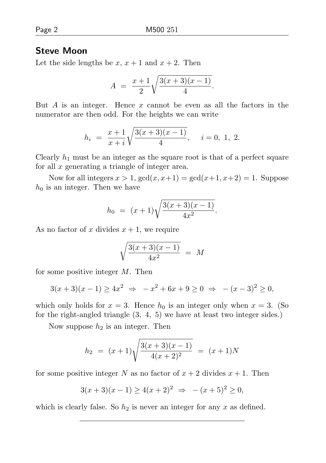#### Steve Moon

Let the side lengths be x,  $x + 1$  and  $x + 2$ . Then

$$
A = \frac{x+1}{2} \sqrt{\frac{3(x+3)(x-1)}{4}}.
$$

But A is an integer. Hence  $x$  cannot be even as all the factors in the numerator are then odd. For the heights we can write

$$
h_i = \frac{x+1}{x+i} \sqrt{\frac{3(x+3)(x-1)}{4}}, \quad i = 0, 1, 2.
$$

Clearly  $h_1$  must be an integer as the square root is that of a perfect square for all x generating a triangle of integer area.

Now for all integers  $x > 1$ ,  $gcd(x, x+1) = gcd(x+1, x+2) = 1$ . Suppose  $h_0$  is an integer. Then we have

$$
h_0 = (x+1)\sqrt{\frac{3(x+3)(x-1)}{4x^2}}.
$$

As no factor of x divides  $x + 1$ , we require

$$
\sqrt{\frac{3(x+3)(x-1)}{4x^2}} = M
$$

for some positive integer  $M$ . Then

$$
3(x+3)(x-1) \ge 4x^2 \Rightarrow -x^2 + 6x + 9 \ge 0 \Rightarrow -(x-3)^2 \ge 0,
$$

which only holds for  $x = 3$ . Hence  $h_0$  is an integer only when  $x = 3$ . (So for the right-angled triangle (3, 4, 5) we have at least two integer sides.)

Now suppose  $h_2$  is an integer. Then

$$
h_2 = (x+1)\sqrt{\frac{3(x+3)(x-1)}{4(x+2)^2}} = (x+1)N
$$

for some positive integer N as no factor of  $x + 2$  divides  $x + 1$ . Then

$$
3(x+3)(x-1) \ge 4(x+2)^2 \Rightarrow -(x+5)^2 \ge 0,
$$

which is clearly false. So  $h_2$  is never an integer for any x as defined.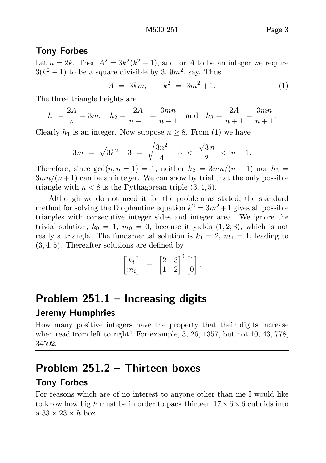#### Tony Forbes

Let  $n = 2k$ . Then  $A^2 = 3k^2(k^2 - 1)$ , and for A to be an integer we require  $3(k^2-1)$  to be a square divisible by 3,  $9m^2$ , say. Thus

$$
A = 3km, \qquad k^2 = 3m^2 + 1. \tag{1}
$$

The three triangle heights are

$$
h_1 = \frac{2A}{n} = 3m
$$
,  $h_2 = \frac{2A}{n-1} = \frac{3mn}{n-1}$  and  $h_3 = \frac{2A}{n+1} = \frac{3mn}{n+1}$ .

Clearly  $h_1$  is an integer. Now suppose  $n \geq 8$ . From (1) we have

$$
3m = \sqrt{3k^2 - 3} = \sqrt{\frac{3n^2}{4} - 3} < \frac{\sqrt{3}n}{2} < n - 1.
$$

Therefore, since  $gcd(n, n \pm 1) = 1$ , neither  $h_2 = 3mn/(n-1)$  nor  $h_3 =$  $3mn/(n+1)$  can be an integer. We can show by trial that the only possible triangle with  $n < 8$  is the Pythagorean triple  $(3, 4, 5)$ .

Although we do not need it for the problem as stated, the standard method for solving the Diophantine equation  $k^2 = 3m^2 + 1$  gives all possible triangles with consecutive integer sides and integer area. We ignore the trivial solution,  $k_0 = 1$ ,  $m_0 = 0$ , because it yields  $(1, 2, 3)$ , which is not really a triangle. The fundamental solution is  $k_1 = 2, m_1 = 1$ , leading to (3, 4, 5). Thereafter solutions are defined by

$$
\begin{bmatrix} k_i \\ m_i \end{bmatrix} = \begin{bmatrix} 2 & 3 \\ 1 & 2 \end{bmatrix}^i \begin{bmatrix} 1 \\ 0 \end{bmatrix}.
$$

## Problem  $251.1$  – Increasing digits

#### Jeremy Humphries

How many positive integers have the property that their digits increase when read from left to right? For example, 3, 26, 1357, but not 10, 43, 778, 34592.

## Problem 251.2 – Thirteen boxes

### Tony Forbes

For reasons which are of no interest to anyone other than me I would like to know how big h must be in order to pack thirteen  $17 \times 6 \times 6$  cuboids into a  $33 \times 23 \times h$  box.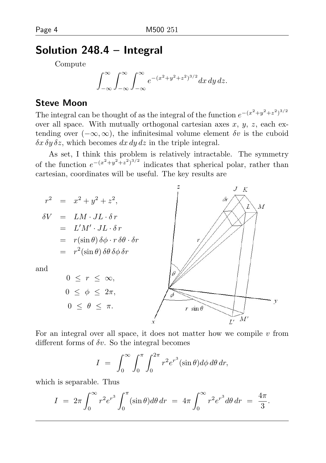## Solution 248.4 – Integral

Compute

$$
\int_{-\infty}^{\infty} \int_{-\infty}^{\infty} \int_{-\infty}^{\infty} e^{-(x^2+y^2+z^2)^{3/2}} dx dy dz.
$$

### Steve Moon

The integral can be thought of as the integral of the function  $e^{-(x^2+y^2+z^2)^{3/2}}$ over all space. With mutually orthogonal cartesian axes  $x, y, z$ , each extending over  $(-\infty, \infty)$ , the infinitesimal volume element  $\delta v$  is the cuboid  $\delta x \, \delta y \, \delta z$ , which becomes dx dy dz in the triple integral.

As set, I think this problem is relatively intractable. The symmetry of the function  $e^{-(x^2+y^2+z^2)^{3/2}}$  indicates that spherical polar, rather than cartesian, coordinates will be useful. The key results are



For an integral over all space, it does not matter how we compile  $v$  from different forms of  $\delta v$ . So the integral becomes

$$
I = \int_0^\infty \int_0^\pi \int_0^{2\pi} r^2 e^{r^3} (\sin \theta) d\phi d\theta dr,
$$

which is separable. Thus

$$
I = 2\pi \int_0^\infty r^2 e^{r^3} \int_0^\pi (\sin \theta) d\theta \, dr = 4\pi \int_0^\infty r^2 e^{r^3} d\theta \, dr = \frac{4\pi}{3}.
$$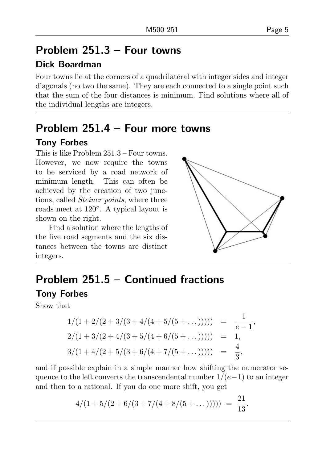## Problem 251.3 – Four towns

## Dick Boardman

Four towns lie at the corners of a quadrilateral with integer sides and integer diagonals (no two the same). They are each connected to a single point such that the sum of the four distances is minimum. Find solutions where all of the individual lengths are integers.

## Problem 251.4 – Four more towns

## Tony Forbes

This is like Problem 251.3 – Four towns. However, we now require the towns to be serviced by a road network of minimum length. This can often be achieved by the creation of two junctions, called Steiner points, where three roads meet at 120◦ . A typical layout is shown on the right.

Find a solution where the lengths of the five road segments and the six distances between the towns are distinct integers.



## Problem 251.5 – Continued fractions

### Tony Forbes

Show that

$$
1/(1+2/(2+3/(3+4/(4+5/(5+\dots)))) = \frac{1}{e-1},
$$
  
\n
$$
2/(1+3/(2+4/(3+5/(4+6/(5+\dots)))) = 1,
$$
  
\n
$$
3/(1+4/(2+5/(3+6/(4+7/(5+\dots)))) = \frac{4}{3},
$$

and if possible explain in a simple manner how shifting the numerator sequence to the left converts the transcendental number  $1/(e-1)$  to an integer and then to a rational. If you do one more shift, you get

$$
4/(1+5/(2+6/(3+7/(4+8/(5+\dots)))) = \frac{21}{13}.
$$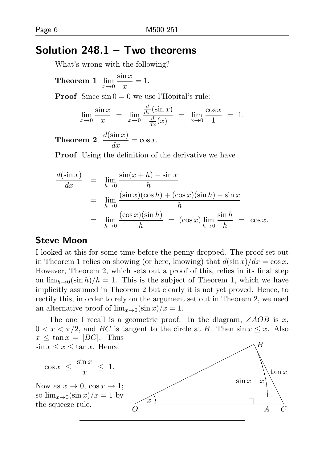## Solution 248.1 – Two theorems

What's wrong with the following?

Theorem 1  $\lim_{x\to 0} \frac{\sin x}{x}$  $\frac{1}{x} = 1.$ 

**Proof** Since  $\sin 0 = 0$  we use l'Hôpital's rule:

$$
\lim_{x \to 0} \frac{\sin x}{x} = \lim_{x \to 0} \frac{\frac{d}{dx} (\sin x)}{\frac{d}{dx} (x)} = \lim_{x \to 0} \frac{\cos x}{1} = 1.
$$

**Theorem 2**  $\frac{d(\sin x)}{dx} = \cos x$ .

Proof Using the definition of the derivative we have

$$
\frac{d(\sin x)}{dx} = \lim_{h \to 0} \frac{\sin(x+h) - \sin x}{h}
$$
  
\n
$$
= \lim_{h \to 0} \frac{(\sin x)(\cos h) + (\cos x)(\sin h) - \sin x}{h}
$$
  
\n
$$
= \lim_{h \to 0} \frac{(\cos x)(\sin h)}{h} = (\cos x) \lim_{h \to 0} \frac{\sin h}{h} = \cos x.
$$

#### Steve Moon

I looked at this for some time before the penny dropped. The proof set out in Theorem 1 relies on showing (or here, knowing) that  $d(\sin x)/dx = \cos x$ . However, Theorem 2, which sets out a proof of this, relies in its final step on  $\lim_{h\to 0}(\sin h)/h = 1$ . This is the subject of Theorem 1, which we have implicitly assumed in Theorem 2 but clearly it is not yet proved. Hence, to rectify this, in order to rely on the argument set out in Theorem 2, we need an alternative proof of  $\lim_{x\to 0} (\sin x)/x = 1$ .

The one I recall is a geometric proof. In the diagram,  $\angle AOB$  is x,  $0 < x < \pi/2$ , and BC is tangent to the circle at B. Then  $\sin x \leq x$ . Also  $x \leq \tan x = |BC|$ . Thus  $\sin x \leq x \leq \tan x$ . Hence

$$
\cos x \ \leq \ \frac{\sin x}{x} \ \leq \ 1.
$$

Now as  $x \to 0$ ,  $\cos x \to 1$ ; so  $\lim_{x\to 0} (\sin x)/x = 1$  by<br>the squeeze rule.

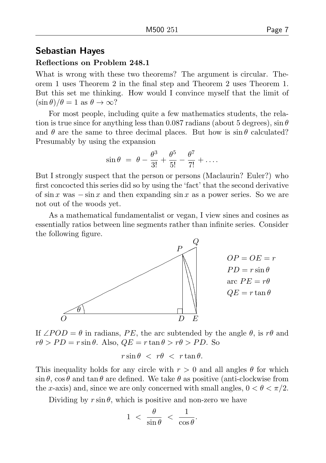#### Sebastian Hayes

#### Reflections on Problem 248.1

What is wrong with these two theorems? The argument is circular. Theorem 1 uses Theorem 2 in the final step and Theorem 2 uses Theorem 1. But this set me thinking. How would I convince myself that the limit of  $(\sin \theta)/\theta = 1$  as  $\theta \to \infty$ ?

For most people, including quite a few mathematics students, the relation is true since for anything less than 0.087 radians (about 5 degrees),  $\sin \theta$ and  $\theta$  are the same to three decimal places. But how is  $\sin \theta$  calculated? Presumably by using the expansion

$$
\sin \theta = \theta - \frac{\theta^3}{3!} + \frac{\theta^5}{5!} - \frac{\theta^7}{7!} + \dots
$$

But I strongly suspect that the person or persons (Maclaurin? Euler?) who first concocted this series did so by using the 'fact' that the second derivative of sin x was  $-\sin x$  and then expanding sin x as a power series. So we are not out of the woods yet.

As a mathematical fundamentalist or vegan, I view sines and cosines as essentially ratios between line segments rather than infinite series. Consider the following figure.



If  $\angle POD = \theta$  in radians, PE, the arc subtended by the angle  $\theta$ , is r $\theta$  and  $r\theta > PD = r\sin\theta$ . Also,  $QE = r\tan\theta > r\theta > PD$ . So

$$
r\sin\theta \; < \; r\theta \; < \; r\tan\theta.
$$

This inequality holds for any circle with  $r > 0$  and all angles  $\theta$  for which  $\sin \theta$ ,  $\cos \theta$  and  $\tan \theta$  are defined. We take  $\theta$  as positive (anti-clockwise from the x-axis) and, since we are only concerned with small angles,  $0 < \theta < \pi/2$ .

Dividing by  $r \sin \theta$ , which is positive and non-zero we have

$$
1 \ < \ \frac{\theta}{\sin \theta} \ < \ \frac{1}{\cos \theta}.
$$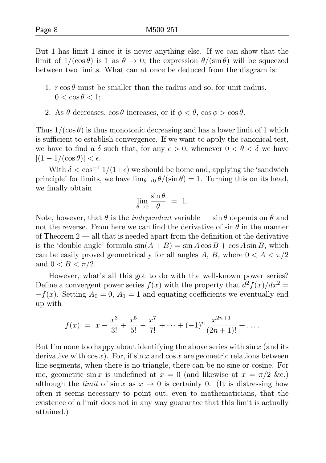But 1 has limit 1 since it is never anything else. If we can show that the limit of  $1/(\cos \theta)$  is 1 as  $\theta \to 0$ , the expression  $\theta/(\sin \theta)$  will be squeezed between two limits. What can at once be deduced from the diagram is:

- 1.  $r \cos \theta$  must be smaller than the radius and so, for unit radius,  $0 < \cos \theta < 1$ ;
- 2. As  $\theta$  decreases,  $\cos \theta$  increases, or if  $\phi < \theta$ ,  $\cos \phi > \cos \theta$ .

Thus  $1/(\cos \theta)$  is thus monotonic decreasing and has a lower limit of 1 which is sufficient to establish convergence. If we want to apply the canonical test, we have to find a  $\delta$  such that, for any  $\epsilon > 0$ , whenever  $0 < \theta < \delta$  we have  $|(1 - 1/(\cos \theta))| < \epsilon.$ 

With  $\delta < \cos^{-1} 1/(1+\epsilon)$  we should be home and, applying the 'sandwich principle' for limits, we have  $\lim_{\theta\to 0} \theta/(\sin \theta) = 1$ . Turning this on its head, we finally obtain

$$
\lim_{\theta \to 0} \frac{\sin \theta}{\theta} = 1.
$$

Note, however, that  $\theta$  is the *independent* variable — sin  $\theta$  depends on  $\theta$  and not the reverse. From here we can find the derivative of  $\sin \theta$  in the manner of Theorem 2 — all that is needed apart from the definition of the derivative is the 'double angle' formula  $\sin(A + B) = \sin A \cos B + \cos A \sin B$ , which can be easily proved geometrically for all angles A, B, where  $0 < A < \pi/2$ and  $0 < B < \pi/2$ .

However, what's all this got to do with the well-known power series? Define a convergent power series  $f(x)$  with the property that  $d^2 f(x)/dx^2 =$  $-f(x)$ . Setting  $A_0 = 0$ ,  $A_1 = 1$  and equating coefficients we eventually end up with

$$
f(x) = x - \frac{x^3}{3!} + \frac{x^5}{5!} - \frac{x^7}{7!} + \dots + (-1)^n \frac{x^{2n+1}}{(2n+1)!} + \dots
$$

But I'm none too happy about identifying the above series with  $\sin x$  (and its derivative with  $\cos x$ ). For, if  $\sin x$  and  $\cos x$  are geometric relations between line segments, when there is no triangle, there can be no sine or cosine. For me, geometric sin x is undefined at  $x = 0$  (and likewise at  $x = \pi/2$  &c.) although the *limit* of  $\sin x$  as  $x \to 0$  is certainly 0. (It is distressing how often it seems necessary to point out, even to mathematicians, that the existence of a limit does not in any way guarantee that this limit is actually attained.)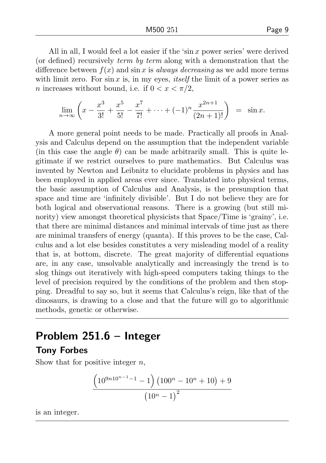All in all, I would feel a lot easier if the 'sin  $x$  power series' were derived (or defined) recursively term by term along with a demonstration that the difference between  $f(x)$  and sin x is always decreasing as we add more terms with limit zero. For  $\sin x$  is, in my eyes, *itself* the limit of a power series as n increases without bound, i.e. if  $0 < x < \pi/2$ ,

$$
\lim_{n \to \infty} \left( x - \frac{x^3}{3!} + \frac{x^5}{5!} - \frac{x^7}{7!} + \dots + (-1)^n \frac{x^{2n+1}}{(2n+1)!} \right) = \sin x.
$$

A more general point needs to be made. Practically all proofs in Analysis and Calculus depend on the assumption that the independent variable (in this case the angle  $\theta$ ) can be made arbitrarily small. This is quite legitimate if we restrict ourselves to pure mathematics. But Calculus was invented by Newton and Leibnitz to elucidate problems in physics and has been employed in applied areas ever since. Translated into physical terms, the basic assumption of Calculus and Analysis, is the presumption that space and time are 'infinitely divisible'. But I do not believe they are for both logical and observational reasons. There is a growing (but still minority) view amongst theoretical physicists that Space/Time is 'grainy', i.e. that there are minimal distances and minimal intervals of time just as there are minimal transfers of energy (quanta). If this proves to be the case, Calculus and a lot else besides constitutes a very misleading model of a reality that is, at bottom, discrete. The great majority of differential equations are, in any case, unsolvable analytically and increasingly the trend is to slog things out iteratively with high-speed computers taking things to the level of precision required by the conditions of the problem and then stopping. Dreadful to say so, but it seems that Calculus's reign, like that of the dinosaurs, is drawing to a close and that the future will go to algorithmic methods, genetic or otherwise.

## Problem 251.6 – Integer

### Tony Forbes

Show that for positive integer  $n$ ,

$$
\frac{\left(10^{9n10^{n-1}-1}-1\right)\left(100^{n}-10^{n}+10\right)+9}{\left(10^{n}-1\right)^{2}}
$$

is an integer.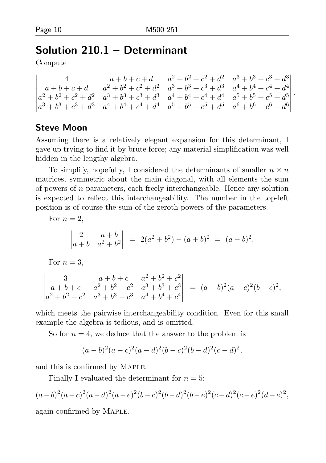## Solution 210.1 – Determinant

Compute

```

        4 a+b+c+d a^2+b^2+c^2+d^2 a^3+b^3+c^3+d^3a+b+c+d a^2+b^2+c^2+d^2 a^3+b^3+c^3+d^3 a^4+b^4+c^4+d^4a^2 + b^2 + c^2 + d^2 a^3 + b^3 + c^3 + d^3 a^4 + b^4 + c^4 + d^4 a^5 + b^5 + c^5 + d^5a^3 + b^3 + c^3 + d^3 a^4 + b^4 + c^4 + d^4 a^5 + b^5 + c^5 + d^5 a^6 + b^6 + c^6 + d^6

                                                                               .
```
## Steve Moon

Assuming there is a relatively elegant expansion for this determinant, I gave up trying to find it by brute force; any material simplification was well hidden in the lengthy algebra.

To simplify, hopefully, I considered the determinants of smaller  $n \times n$ matrices, symmetric about the main diagonal, with all elements the sum of powers of n parameters, each freely interchangeable. Hence any solution is expected to reflect this interchangeability. The number in the top-left position is of course the sum of the zeroth powers of the parameters.

For  $n=2$ .  $\begin{array}{c} \begin{array}{c} \begin{array}{c} \begin{array}{c} \end{array} \\ \end{array} \\ \begin{array}{c} \end{array} \end{array} \end{array}$ 2  $a + b$  $a + b \quad a^2 + b^2$  $\begin{array}{c} \begin{array}{c} \begin{array}{c} \begin{array}{c} \end{array} \\ \end{array} \\ \begin{array}{c} \end{array} \end{array} \end{array}$  $= 2(a^2 + b^2) - (a + b)^2 = (a - b)^2$ . For  $n=3$ , 3  $a+b+c$   $a^2+b^2+c^2$  $a+b+c$   $a^2+b^2+c^2$   $a^3+b^3+c^3$   $= (a - b)^2 (a - c)^2 (b - c)^2$ 

which meets the pairwise interchangeability condition. Even for this small example the algebra is tedious, and is omitted.

So for  $n = 4$ , we deduce that the answer to the problem is

$$
(a-b)^{2}(a-c)^{2}(a-d)^{2}(b-c)^{2}(b-d)^{2}(c-d)^{2},
$$

and this is confirmed by Maple.

Finally I evaluated the determinant for  $n = 5$ :

 $a^2 + b^2 + c^2$   $a^3 + b^3 + c^3$   $a^4 + b^4 + c^4$ 

$$
(a-b)^{2}(a-c)^{2}(a-d)^{2}(a-e)^{2}(b-c)^{2}(b-d)^{2}(b-e)^{2}(c-d)^{2}(c-e)^{2}(d-e)^{2},
$$

again confirmed by Maple.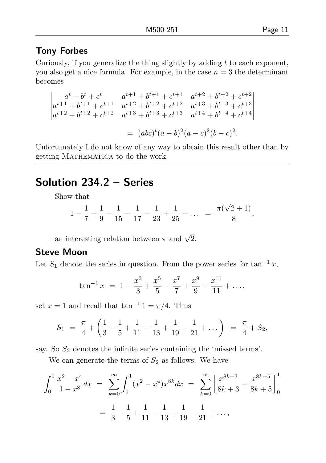#### Tony Forbes

Curiously, if you generalize the thing slightly by adding  $t$  to each exponent, you also get a nice formula. For example, in the case  $n = 3$  the determinant becomes

$$
\begin{vmatrix} a^t + b^t + c^t & a^{t+1} + b^{t+1} + c^{t+1} & a^{t+2} + b^{t+2} + c^{t+2} \\ a^{t+1} + b^{t+1} + c^{t+1} & a^{t+2} + b^{t+2} + c^{t+2} & a^{t+3} + b^{t+3} + c^{t+3} \\ a^{t+2} + b^{t+2} + c^{t+2} & a^{t+3} + b^{t+3} + c^{t+3} & a^{t+4} + b^{t+4} + c^{t+4} \end{vmatrix}
$$
  
=  $(abc)^t (a - b)^2 (a - c)^2 (b - c)^2$ .

Unfortunately I do not know of any way to obtain this result other than by getting MATHEMATICA to do the work.

## Solution 234.2 – Series

Show that

$$
1 - \frac{1}{7} + \frac{1}{9} - \frac{1}{15} + \frac{1}{17} - \frac{1}{23} + \frac{1}{25} - \dots = \frac{\pi(\sqrt{2}+1)}{8},
$$

an interesting relation between  $\pi$  and  $\sqrt{2}$ .

#### Steve Moon

Let  $S_1$  denote the series in question. From the power series for  $\tan^{-1} x$ ,

$$
\tan^{-1} x = 1 - \frac{x^3}{3} + \frac{x^5}{5} - \frac{x^7}{7} + \frac{x^9}{9} - \frac{x^{11}}{11} + \dots,
$$

set  $x = 1$  and recall that  $\tan^{-1} 1 = \pi/4$ . Thus

$$
S_1 = \frac{\pi}{4} + \left(\frac{1}{3} - \frac{1}{5} + \frac{1}{11} - \frac{1}{13} + \frac{1}{19} - \frac{1}{21} + \dots\right) = \frac{\pi}{4} + S_2,
$$

say. So  $S_2$  denotes the infinite series containing the 'missed terms'.

We can generate the terms of  $S_2$  as follows. We have

$$
\int_0^1 \frac{x^2 - x^4}{1 - x^8} dx = \sum_{k=0}^\infty \int_0^1 (x^2 - x^4) x^{8k} dx = \sum_{k=0}^\infty \left[ \frac{x^{8k+3}}{8k+3} - \frac{x^{8k+5}}{8k+5} \right]_0^1
$$

$$
= \frac{1}{3} - \frac{1}{5} + \frac{1}{11} - \frac{1}{13} + \frac{1}{19} - \frac{1}{21} + \dots,
$$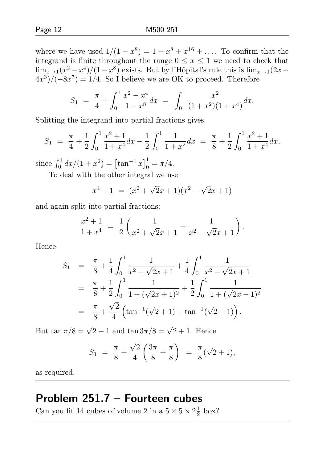where we have used  $1/(1-x^8) = 1 + x^8 + x^{16} + ...$  To confirm that the integrand is finite throughout the range  $0 \leq x \leq 1$  we need to check that

$$
\lim_{x\to 1}(x^2 - x^4)/(1 - x^8)
$$
 exists. But by l'Hôpital's rule this is  $\lim_{x\to 1}(2x - 4x^3)/(-8x^7) = 1/4$ . So I believe we are OK to proceed. Therefore

$$
S_1 = \frac{\pi}{4} + \int_0^1 \frac{x^2 - x^4}{1 - x^8} dx = \int_0^1 \frac{x^2}{(1 + x^2)(1 + x^4)} dx.
$$

Splitting the integrand into partial fractions gives

$$
S_1 = \frac{\pi}{4} + \frac{1}{2} \int_0^1 \frac{x^2 + 1}{1 + x^4} dx - \frac{1}{2} \int_0^1 \frac{1}{1 + x^2} dx = \frac{\pi}{8} + \frac{1}{2} \int_0^1 \frac{x^2 + 1}{1 + x^4} dx,
$$

since  $\int_0^1 dx/(1 + x^2) = \left[\tan^{-1} x\right]_0^1 = \pi/4.$ 

To deal with the other integral we use

$$
x^{4} + 1 = (x^{2} + \sqrt{2}x + 1)(x^{2} - \sqrt{2}x + 1)
$$

and again split into partial fractions:

$$
\frac{x^2+1}{1+x^4} = \frac{1}{2} \left( \frac{1}{x^2 + \sqrt{2}x + 1} + \frac{1}{x^2 - \sqrt{2}x + 1} \right).
$$

Hence

$$
S_1 = \frac{\pi}{8} + \frac{1}{4} \int_0^1 \frac{1}{x^2 + \sqrt{2}x + 1} + \frac{1}{4} \int_0^1 \frac{1}{x^2 - \sqrt{2}x + 1}
$$
  
=  $\frac{\pi}{8} + \frac{1}{2} \int_0^1 \frac{1}{1 + (\sqrt{2}x + 1)^2} + \frac{1}{2} \int_0^1 \frac{1}{1 + (\sqrt{2}x - 1)^2}$   
=  $\frac{\pi}{8} + \frac{\sqrt{2}}{4} \left( \tan^{-1}(\sqrt{2} + 1) + \tan^{-1}(\sqrt{2} - 1) \right).$ 

But  $\tan \pi/8 = \sqrt{2} - 1$  and  $\tan 3\pi/8 = \sqrt{2} + 1$ . Hence

$$
S_1 = \frac{\pi}{8} + \frac{\sqrt{2}}{4} \left( \frac{3\pi}{8} + \frac{\pi}{8} \right) = \frac{\pi}{8} (\sqrt{2} + 1),
$$

as required.

## Problem 251.7 – Fourteen cubes

Can you fit 14 cubes of volume 2 in a  $5 \times 5 \times 2\frac{1}{2}$  box?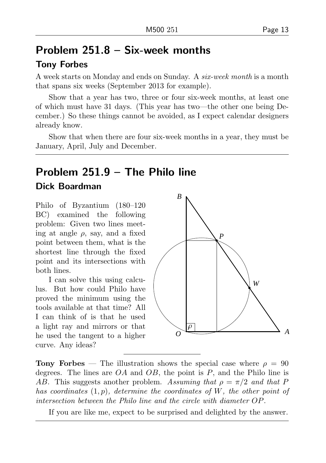## Problem 251.8 – Six-week months

## Tony Forbes

A week starts on Monday and ends on Sunday. A six-week month is a month that spans six weeks (September 2013 for example).

Show that a year has two, three or four six-week months, at least one of which must have 31 days. (This year has two—the other one being December.) So these things cannot be avoided, as I expect calendar designers already know.

Show that when there are four six-week months in a year, they must be January, April, July and December.

## Problem 251.9 – The Philo line

#### Dick Boardman

Philo of Byzantium (180–120 BC) examined the following problem: Given two lines meeting at angle  $\rho$ , say, and a fixed point between them, what is the shortest line through the fixed point and its intersections with both lines.

I can solve this using calculus. But how could Philo have proved the minimum using the tools available at that time? All I can think of is that he used a light ray and mirrors or that he used the tangent to a higher curve. Any ideas?



**Tony Forbes** — The illustration shows the special case where  $\rho = 90$ degrees. The lines are  $OA$  and  $OB$ , the point is P, and the Philo line is AB. This suggests another problem. Assuming that  $\rho = \pi/2$  and that P has coordinates  $(1, p)$ , determine the coordinates of W, the other point of intersection between the Philo line and the circle with diameter OP.

If you are like me, expect to be surprised and delighted by the answer.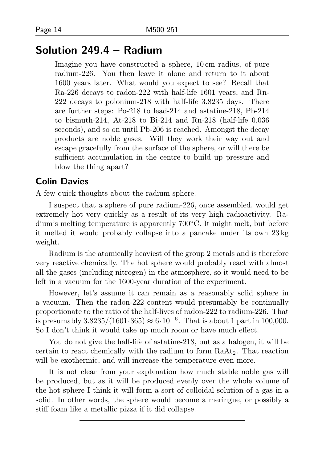## Solution 249.4 – Radium

Imagine you have constructed a sphere, 10 cm radius, of pure radium-226. You then leave it alone and return to it about 1600 years later. What would you expect to see? Recall that Ra-226 decays to radon-222 with half-life 1601 years, and Rn-222 decays to polonium-218 with half-life 3.8235 days. There are further steps: Po-218 to lead-214 and astatine-218, Pb-214 to bismuth-214, At-218 to Bi-214 and Rn-218 (half-life 0.036 seconds), and so on until Pb-206 is reached. Amongst the decay products are noble gases. Will they work their way out and escape gracefully from the surface of the sphere, or will there be sufficient accumulation in the centre to build up pressure and blow the thing apart?

#### Colin Davies

A few quick thoughts about the radium sphere.

I suspect that a sphere of pure radium-226, once assembled, would get extremely hot very quickly as a result of its very high radioactivity. Radium's melting temperature is apparently 700◦C. It might melt, but before it melted it would probably collapse into a pancake under its own 23 kg weight.

Radium is the atomically heaviest of the group 2 metals and is therefore very reactive chemically. The hot sphere would probably react with almost all the gases (including nitrogen) in the atmosphere, so it would need to be left in a vacuum for the 1600-year duration of the experiment.

However, let's assume it can remain as a reasonably solid sphere in a vacuum. Then the radon-222 content would presumably be continually proportionate to the ratio of the half-lives of radon-222 to radium-226. That is presumably  $3.8235/(1601 \cdot 365) \approx 6 \cdot 10^{-6}$ . That is about 1 part in 100,000. So I don't think it would take up much room or have much effect.

You do not give the half-life of astatine-218, but as a halogen, it will be certain to react chemically with the radium to form RaAt2. That reaction will be exothermic, and will increase the temperature even more.

It is not clear from your explanation how much stable noble gas will be produced, but as it will be produced evenly over the whole volume of the hot sphere I think it will form a sort of colloidal solution of a gas in a solid. In other words, the sphere would become a meringue, or possibly a stiff foam like a metallic pizza if it did collapse.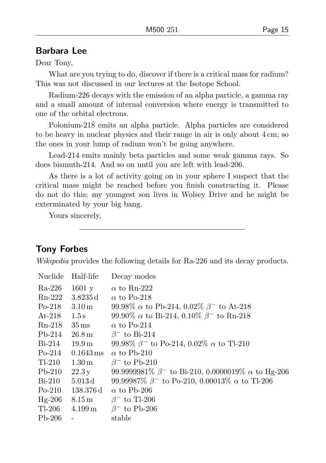#### Barbara Lee

Dear Tony,

What are you trying to do, discover if there is a critical mass for radium? This was not discussed in our lectures at the Isotope School.

Radium-226 decays with the emission of an alpha particle, a gamma ray and a small amount of internal conversion where energy is transmitted to one of the orbital electrons.

Polonium-218 emits an alpha particle. Alpha particles are considered to be heavy in nuclear physics and their range in air is only about 4 cm; so the ones in your lump of radium won't be going anywhere.

Lead-214 emits mainly beta particles and some weak gamma rays. So does bismuth-214. And so on until you are left with lead-206.

As there is a lot of activity going on in your sphere I suspect that the critical mass might be reached before you finish constructing it. Please do not do this; my youngest son lives in Wolsey Drive and he might be exterminated by your big bang.

Yours sincerely,

### Tony Forbes

Wikipedia provides the following details for Ra-226 and its decay products.

| Nuclide                  | Half-life              | Decay modes                                                                 |
|--------------------------|------------------------|-----------------------------------------------------------------------------|
| Ra-226                   | 1601y                  | $\alpha$ to Rn-222                                                          |
| Rn-222                   | $3.8235\,\mathrm{d}$   | $\alpha$ to Po-218                                                          |
| $Po-218$                 | $3.10\,\mathrm{m}$     | 99.98% $\alpha$ to Pb-214, 0.02% $\beta^-$ to At-218                        |
| $\mathrm{At}\text{-}218$ | 1.5 s                  | 99.90% $\alpha$ to Bi-214, 0.10% $\beta^-$ to Rn-218                        |
| $Rn-218$                 | $35 \,\rm ms$          | $\alpha$ to Po-214                                                          |
| $Pb-214$                 | $26.8\,\mathrm{m}$     | $\beta^-$ to Bi-214                                                         |
| $Bi-214$                 | 19.9 <sub>m</sub>      | 99.98% $\beta^-$ to Po-214, 0.02% $\alpha$ to Tl-210                        |
| $Po-214$                 | $0.1643 \,\mathrm{ms}$ | $\alpha$ to Pb-210                                                          |
| Tl-210                   | $1.30\,\mathrm{m}$     | $\beta$ <sup>-</sup> to Pb-210                                              |
| $Pb-210$                 | 22.3y                  | 99.9999981\% $\beta$ <sup>-</sup> to Bi-210, 0.0000019\% $\alpha$ to Hg-206 |
| $Bi-210$                 | $5.013\,\mathrm{d}$    | 99.99987\% $\beta^-$ to Po-210, 0.00013\% $\alpha$ to Tl-206                |
| $Po-210$                 | 138.376 d              | $\alpha$ to Pb-206                                                          |
| $Hg-206$                 | $8.15 \,\mathrm{m}$    | $\beta$ <sup>-</sup> to Tl-206                                              |
| Tl-206                   | $4.199\,\mathrm{m}$    | $\beta^-$ to Pb-206                                                         |
| $Pb-206$                 |                        | stable                                                                      |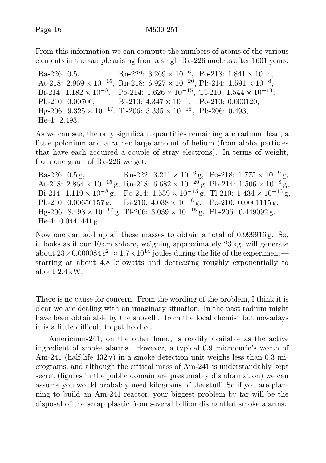From this information we can compute the numbers of atoms of the various elements in the sample arising from a single Ra-226 nucleus after 1601 years:

Ra-226: 0.5, Rn-222:  $3.269 \times 10^{-6}$ , Po-218:  $1.841 \times 10^{-9}$ , At-218:  $2.969 \times 10^{-15}$ , Rn-218:  $6.927 \times 10^{-20}$ , Pb-214:  $1.591 \times 10^{-8}$ , Bi-214:  $1.182 \times 10^{-8}$ , Po-214:  $1.626 \times 10^{-15}$ , Tl-210:  $1.544 \times 10^{-13}$ , Pb-210: 0.00706, Bi-210:  $4.347 \times 10^{-6}$ , Po-210: 0.000120, Hg-206:  $9.325 \times 10^{-17}$ , Tl-206:  $3.335 \times 10^{-15}$ , Pb-206: 0.493, He-4: 2.493.

As we can see, the only significant quantities remaining are radium, lead, a little polonium and a rather large amount of helium (from alpha particles that have each acquired a couple of stray electrons). In terms of weight, from one gram of Ra-226 we get:

Ra-226: 0.5 g, Rn-222:  $3.211 \times 10^{-6}$  g, Po-218:  $1.775 \times 10^{-9}$  g, At-218:  $2.864 \times 10^{-15}$  g, Rn-218:  $6.682 \times 10^{-20}$  g, Pb-214:  $1.506 \times 10^{-8}$  g, Bi-214:  $1.119 \times 10^{-8}$  g, Po-214:  $1.539 \times 10^{-15}$  g, Tl-210:  $1.434 \times 10^{-13}$  g, Pb-210: 0.00656157 g, Bi-210:  $4.038 \times 10^{-6}$  g, Po-210: 0.0001115 g, Hg-206: 8.498 × 10<sup>-17</sup> g, Tl-206: 3.039 × 10<sup>-15</sup> g, Pb-206: 0.449092 g, He-4: 0.0441441 g.

Now one can add up all these masses to obtain a total of 0.999916 g. So, it looks as if our 10 cm sphere, weighing approximately 23 kg, will generate about  $23 \times 0.000084 c^2 \approx 1.7 \times 10^{14}$  joules during the life of the experiment starting at about 4.8 kilowatts and decreasing roughly exponentially to about 2.4 kW.

There is no cause for concern. From the wording of the problem, I think it is clear we are dealing with an imaginary situation. In the past radium might have been obtainable by the shovelful from the local chemist but nowadays it is a little difficult to get hold of.

Americium-241, on the other hand, is readily available as the active ingredient of smoke alarms. However, a typical 0.9 microcurie's worth of Am-241 (half-life 432 y) in a smoke detection unit weighs less than 0.3 micrograms, and although the critical mass of Am-241 is understandably kept secret (figures in the public domain are presumably disinformation) we can assume you would probably need kilograms of the stuff. So if you are planning to build an Am-241 reactor, your biggest problem by far will be the disposal of the scrap plastic from several billion dismantled smoke alarms.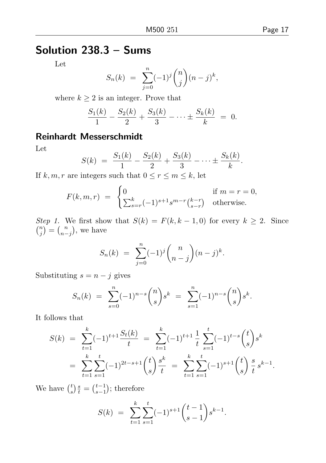## Solution 238.3 – Sums

Let

$$
S_n(k) = \sum_{j=0}^n (-1)^j \binom{n}{j} (n-j)^k,
$$

where  $k \geq 2$  is an integer. Prove that

$$
\frac{S_1(k)}{1} - \frac{S_2(k)}{2} + \frac{S_3(k)}{3} - \dots \pm \frac{S_k(k)}{k} = 0.
$$

## Reinhardt Messerschmidt

Let

$$
S(k) = \frac{S_1(k)}{1} - \frac{S_2(k)}{2} + \frac{S_3(k)}{3} - \dots \pm \frac{S_k(k)}{k}.
$$

If  $k, m, r$  are integers such that  $0 \le r \le m \le k$ , let

$$
F(k, m, r) = \begin{cases} 0 & \text{if } m = r = 0, \\ \sum_{s=r}^{k} (-1)^{s+1} s^{m-r} {k-r \choose s-r} & \text{otherwise.} \end{cases}
$$

Step 1. We first show that  $S(k) = F(k, k-1, 0)$  for every  $k \geq 2$ . Since  $\binom{n}{j} = \binom{n}{n-j}$ , we have

$$
S_n(k) = \sum_{j=0}^n (-1)^j \binom{n}{n-j} (n-j)^k.
$$

Substituting  $s = n - j$  gives

$$
S_n(k) = \sum_{s=0}^n (-1)^{n-s} \binom{n}{s} s^k = \sum_{s=1}^n (-1)^{n-s} \binom{n}{s} s^k.
$$

It follows that

$$
S(k) = \sum_{t=1}^{k} (-1)^{t+1} \frac{S_t(k)}{t} = \sum_{t=1}^{k} (-1)^{t+1} \frac{1}{t} \sum_{s=1}^{t} (-1)^{t-s} {t \choose s} s^k
$$
  
= 
$$
\sum_{t=1}^{k} \sum_{s=1}^{t} (-1)^{2t-s+1} {t \choose s} \frac{s^k}{t} = \sum_{t=1}^{k} \sum_{s=1}^{t} (-1)^{s+1} {t \choose s} \frac{s}{t} s^{k-1}.
$$

We have  $\binom{t}{s} \frac{s}{t} = \binom{t-1}{s-1}$ ; therefore

$$
S(k) = \sum_{t=1}^{k} \sum_{s=1}^{t} (-1)^{s+1} {t-1 \choose s-1} s^{k-1}.
$$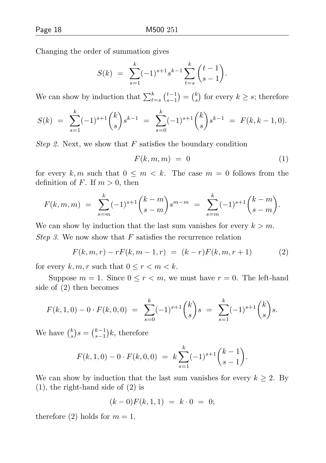Changing the order of summation gives

$$
S(k) = \sum_{s=1}^{k} (-1)^{s+1} s^{k-1} \sum_{t=s}^{k} {t-1 \choose s-1}.
$$

We can show by induction that  $\sum_{t=s}^{k} {t-1 \choose s-1} = {k \choose s}$  for every  $k \geq s$ ; therefore

$$
S(k) = \sum_{s=1}^{k} (-1)^{s+1} {k \choose s} s^{k-1} = \sum_{s=0}^{k} (-1)^{s+1} {k \choose s} s^{k-1} = F(k, k-1, 0).
$$

*Step 2.* Next, we show that  $F$  satisfies the boundary condition

$$
F(k, m, m) = 0 \tag{1}
$$

for every k, m such that  $0 \leq m < k$ . The case  $m = 0$  follows from the definition of F. If  $m > 0$ , then

$$
F(k, m, m) = \sum_{s=m}^{k} (-1)^{s+1} {k-m \choose s-m} s^{m-m} = \sum_{s=m}^{k} (-1)^{s+1} {k-m \choose s-m}.
$$

We can show by induction that the last sum vanishes for every  $k > m$ . Step 3. We now show that  $F$  satisfies the recurrence relation

$$
F(k, m, r) - rF(k, m - 1, r) = (k - r)F(k, m, r + 1)
$$
 (2)

for every k, m, r such that  $0 \le r \le m \le k$ .

Suppose  $m = 1$ . Since  $0 \le r < m$ , we must have  $r = 0$ . The left-hand side of (2) then becomes

$$
F(k,1,0) - 0 \cdot F(k,0,0) = \sum_{s=0}^{k} (-1)^{s+1} {k \choose s} s = \sum_{s=1}^{k} (-1)^{s+1} {k \choose s} s.
$$

We have  $\binom{k}{s} s = \binom{k-1}{s-1} k$ , therefore

$$
F(k,1,0) - 0 \cdot F(k,0,0) = k \sum_{s=1}^{k} (-1)^{s+1} {k-1 \choose s-1}.
$$

We can show by induction that the last sum vanishes for every  $k \geq 2$ . By (1), the right-hand side of (2) is

$$
(k-0)F(k,1,1) = k \cdot 0 = 0;
$$

therefore (2) holds for  $m = 1$ .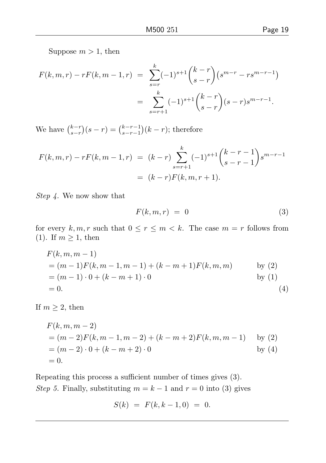$$
F(k, m, r) - rF(k, m - 1, r) = \sum_{s=r}^{k} (-1)^{s+1} {k-r \choose s-r} (s^{m-r} - rs^{m-r-1})
$$
  
= 
$$
\sum_{s=r+1}^{k} (-1)^{s+1} {k-r \choose s-r} (s-r) s^{m-r-1}.
$$

We have  $\binom{k-r}{s-r}(s-r) = \binom{k-r-1}{s-r-1}(k-r)$ ; therefore

$$
F(k, m, r) - rF(k, m - 1, r) = (k - r) \sum_{s=r+1}^{k} (-1)^{s+1} {k - r - 1 \choose s - r - 1} s^{m-r-1}
$$
  
=  $(k - r)F(k, m, r + 1).$ 

Step 4. We now show that

$$
F(k, m, r) = 0 \tag{3}
$$

for every  $k, m, r$  such that  $0 \le r \le m < k$ . The case  $m = r$  follows from (1). If  $m \geq 1$ , then

$$
F(k, m, m-1)
$$
  
=  $(m-1)F(k, m-1, m-1) + (k-m+1)F(k, m, m)$  by (2)  
=  $(m-1) \cdot 0 + (k-m+1) \cdot 0$  by (1)  
= 0. (4)

If  $m \geq 2$ , then

$$
F(k, m, m-2)
$$
  
=  $(m-2)F(k, m-1, m-2) + (k-m+2)F(k, m, m-1)$  by (2)  
=  $(m-2) \cdot 0 + (k-m+2) \cdot 0$  by (4)  
= 0.

Repeating this process a sufficient number of times gives (3). Step 5. Finally, substituting  $m = k - 1$  and  $r = 0$  into (3) gives

$$
S(k) = F(k, k-1, 0) = 0.
$$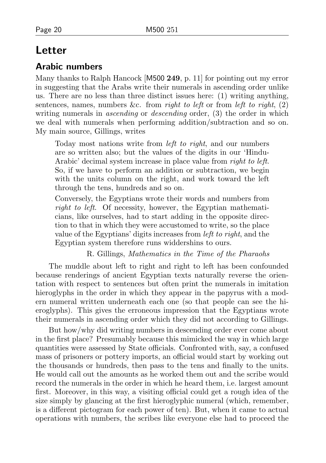## Letter

#### Arabic numbers

Many thanks to Ralph Hancock [M500 249, p. 11] for pointing out my error in suggesting that the Arabs write their numerals in ascending order unlike us. There are no less than three distinct issues here: (1) writing anything, sentences, names, numbers &c. from *right to left* or from *left to right*,  $(2)$ writing numerals in *ascending* or *descending* order, (3) the order in which we deal with numerals when performing addition/subtraction and so on. My main source, Gillings, writes

Today most nations write from *left to right*, and our numbers are so written also; but the values of the digits in our 'Hindu-Arabic' decimal system increase in place value from right to left. So, if we have to perform an addition or subtraction, we begin with the units column on the right, and work toward the left through the tens, hundreds and so on.

Conversely, the Egyptians wrote their words and numbers from right to left. Of necessity, however, the Egyptian mathematicians, like ourselves, had to start adding in the opposite direction to that in which they were accustomed to write, so the place value of the Egyptians' digits increases from *left to right*, and the Egyptian system therefore runs widdershins to ours.

R. Gillings, Mathematics in the Time of the Pharaohs

The muddle about left to right and right to left has been confounded because renderings of ancient Egyptian texts naturally reverse the orientation with respect to sentences but often print the numerals in imitation hieroglyphs in the order in which they appear in the papyrus with a modern numeral written underneath each one (so that people can see the hieroglyphs). This gives the erroneous impression that the Egyptians wrote their numerals in ascending order which they did not according to Gillings.

But how/why did writing numbers in descending order ever come about in the first place? Presumably because this mimicked the way in which large quantities were assessed by State officials. Confronted with, say, a confused mass of prisoners or pottery imports, an official would start by working out the thousands or hundreds, then pass to the tens and finally to the units. He would call out the amounts as he worked them out and the scribe would record the numerals in the order in which he heard them, i.e. largest amount first. Moreover, in this way, a visiting official could get a rough idea of the size simply by glancing at the first hieroglyphic numeral (which, remember, is a different pictogram for each power of ten). But, when it came to actual operations with numbers, the scribes like everyone else had to proceed the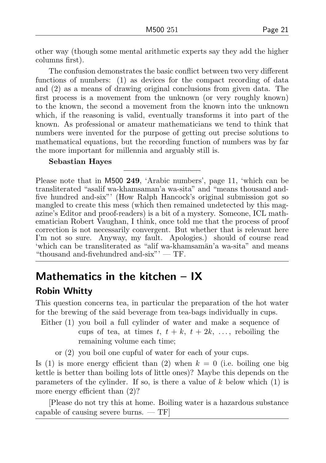other way (though some mental arithmetic experts say they add the higher columns first).

The confusion demonstrates the basic conflict between two very different functions of numbers: (1) as devices for the compact recording of data and (2) as a means of drawing original conclusions from given data. The first process is a movement from the unknown (or very roughly known) to the known, the second a movement from the known into the unknown which, if the reasoning is valid, eventually transforms it into part of the known. As professional or amateur mathematicians we tend to think that numbers were invented for the purpose of getting out precise solutions to mathematical equations, but the recording function of numbers was by far the more important for millennia and arguably still is.

#### Sebastian Hayes

Please note that in M500 249, 'Arabic numbers', page 11, 'which can be transliterated "asalif wa-khamsaman'a wa-sita" and "means thousand andfive hundred and-six"' (How Ralph Hancock's original submission got so mangled to create this mess (which then remained undetected by this magazine's Editor and proof-readers) is a bit of a mystery. Someone, ICL mathematician Robert Vaughan, I think, once told me that the process of proof correction is not necessarily convergent. But whether that is relevant here I'm not so sure. Anyway, my fault. Apologies.) should of course read 'which can be transliterated as "alif wa-khamsam¯an'a wa-sita" and means "thousand and-fivehundred and-six"'  $-$  TF.

## Mathematics in the kitchen – IX

## Robin Whitty

This question concerns tea, in particular the preparation of the hot water for the brewing of the said beverage from tea-bags individually in cups.

- Either (1) you boil a full cylinder of water and make a sequence of cups of tea, at times t,  $t + k$ ,  $t + 2k$ , ..., reboiling the remaining volume each time;
	- or (2) you boil one cupful of water for each of your cups.

Is (1) is more energy efficient than (2) when  $k = 0$  (i.e. boiling one big kettle is better than boiling lots of little ones)? Maybe this depends on the parameters of the cylinder. If so, is there a value of  $k$  below which  $(1)$  is more energy efficient than  $(2)$ ?

[Please do not try this at home. Boiling water is a hazardous substance capable of causing severe burns. — TF]